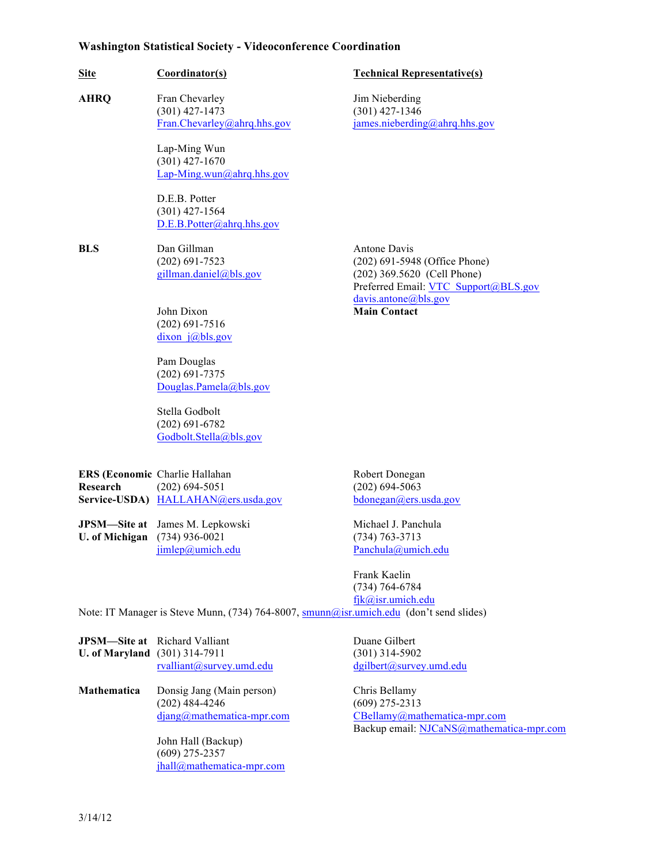## **Washington Statistical Society - Videoconference Coordination**

| <b>Site</b>                    | Coordinator(s)                                                                            | <b>Technical Representative(s)</b>                                                                                   |
|--------------------------------|-------------------------------------------------------------------------------------------|----------------------------------------------------------------------------------------------------------------------|
| <b>AHRQ</b>                    | Fran Chevarley<br>$(301)$ 427-1473<br>Fran.Chevarley@ahrq.hhs.gov                         | Jim Nieberding<br>$(301)$ 427-1346<br>james.nieberding@ahrq.hhs.gov                                                  |
|                                | Lap-Ming Wun<br>$(301)$ 427-1670<br>Lap-Ming.wun@ahrq.hhs.gov                             |                                                                                                                      |
|                                | D.E.B. Potter<br>$(301)$ 427-1564<br>D.E.B.Potter@ahrq.hhs.gov                            |                                                                                                                      |
| <b>BLS</b>                     | Dan Gillman<br>$(202)$ 691-7523<br>gillman.daniel@bls.gov                                 | Antone Davis<br>(202) 691-5948 (Office Phone)<br>(202) 369.5620 (Cell Phone)<br>Preferred Email: VTC Support@BLS.gov |
|                                | John Dixon<br>$(202)$ 691-7516<br>dixon $j(a)$ bls.gov                                    | davis.antone@bls.gov<br><b>Main Contact</b>                                                                          |
|                                | Pam Douglas<br>$(202)$ 691-7375<br>Douglas.Pamela@bls.gov                                 |                                                                                                                      |
|                                | Stella Godbolt<br>$(202)$ 691-6782<br>Godbolt.Stella@bls.gov                              |                                                                                                                      |
| Research                       | ERS (Economic Charlie Hallahan<br>$(202)$ 694-5051<br>Service-USDA) HALLAHAN@ers.usda.gov | Robert Donegan<br>$(202) 694 - 5063$<br>bdonegan(a)ers.usda.gov                                                      |
| JPSM-Site at<br>U. of Michigan | James M. Lepkowski<br>$(734)$ 936-0021<br>jimlep@umich.edu                                | Michael J. Panchula<br>$(734) 763 - 3713$<br>Panchula@umich.edu                                                      |
|                                |                                                                                           | Frank Kaelin                                                                                                         |

(734) 764-6784 fjk@isr.umich.edu

Note: IT Manager is Steve Munn, (734) 764-8007, smunn@isr.umich.edu (don't send slides)

|                                      | <b>JPSM—Site at</b> Richard Valliant |
|--------------------------------------|--------------------------------------|
| <b>U. of Maryland</b> (301) 314-7911 |                                      |
|                                      | $rvalliant(a)$ survey.umd.edu        |

**Mathematica** Donsig Jang (Main person) Chris Bellamy<br>(202) 484-4246 (609) 275-2313  $(202)$  484-4246

> John Hall (Backup) (609) 275-2357 jhall@mathematica-mpr.com

Duane Gilbert **U. of Maryland** (301) 314-7911 (301) 314-5902 dgilbert@survey.umd.edu

djang@mathematica-mpr.com CBellamy@mathematica-mpr.com Backup email: NJCaNS@mathematica-mpr.com